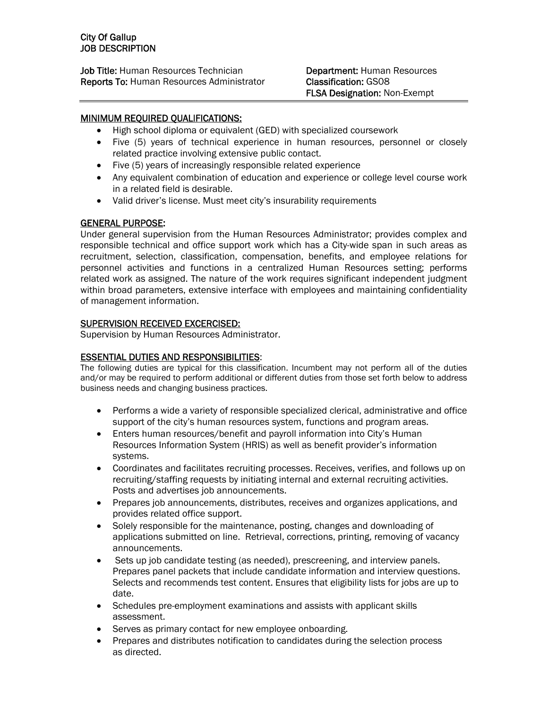**Job Title:** Human Resources Technician **Department:** Human Resources Reports To: Human Resources Administrator Classification: GS08

# MINIMUM REQUIRED QUALIFICATIONS:

- High school diploma or equivalent (GED) with specialized coursework
- Five (5) years of technical experience in human resources, personnel or closely related practice involving extensive public contact.
- Five (5) years of increasingly responsible related experience
- Any equivalent combination of education and experience or college level course work in a related field is desirable.
- Valid driver's license. Must meet city's insurability requirements

## GENERAL PURPOSE:

Under general supervision from the Human Resources Administrator; provides complex and responsible technical and office support work which has a City-wide span in such areas as recruitment, selection, classification, compensation, benefits, and employee relations for personnel activities and functions in a centralized Human Resources setting; performs related work as assigned. The nature of the work requires significant independent judgment within broad parameters, extensive interface with employees and maintaining confidentiality of management information.

# SUPERVISION RECEIVED EXCERCISED:

Supervision by Human Resources Administrator.

## ESSENTIAL DUTIES AND RESPONSIBILITIES:

The following duties are typical for this classification. Incumbent may not perform all of the duties and/or may be required to perform additional or different duties from those set forth below to address business needs and changing business practices.

- Performs a wide a variety of responsible specialized clerical, administrative and office support of the city's human resources system, functions and program areas.
- Enters human resources/benefit and payroll information into City's Human Resources Information System (HRIS) as well as benefit provider's information systems.
- Coordinates and facilitates recruiting processes. Receives, verifies, and follows up on recruiting/staffing requests by initiating internal and external recruiting activities. Posts and advertises job announcements.
- Prepares job announcements, distributes, receives and organizes applications, and provides related office support.
- Solely responsible for the maintenance, posting, changes and downloading of applications submitted on line. Retrieval, corrections, printing, removing of vacancy announcements.
- Sets up job candidate testing (as needed), prescreening, and interview panels. Prepares panel packets that include candidate information and interview questions. Selects and recommends test content. Ensures that eligibility lists for jobs are up to date.
- Schedules pre-employment examinations and assists with applicant skills assessment.
- Serves as primary contact for new employee onboarding.
- Prepares and distributes notification to candidates during the selection process as directed.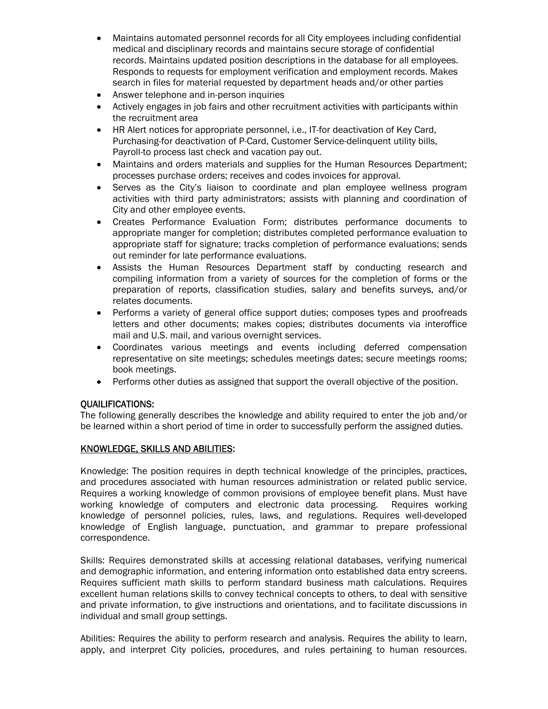- Maintains automated personnel records for all City employees including confidential medical and disciplinary records and maintains secure storage of confidential records. Maintains updated position descriptions in the database for all employees. Responds to requests for employment verification and employment records. Makes search in files for material requested by department heads and/or other parties
- Answer telephone and in-person inquiries
- Actively engages in job fairs and other recruitment activities with participants within the recruitment area
- HR Alert notices for appropriate personnel, i.e., IT-for deactivation of Key Card, Purchasing-for deactivation of P-Card, Customer Service-delinquent utility bills, Payroll-to process last check and vacation pay out.
- Maintains and orders materials and supplies for the Human Resources Department; processes purchase orders; receives and codes invoices for approval.
- Serves as the City's liaison to coordinate and plan employee wellness program activities with third party administrators; assists with planning and coordination of City and other employee events.
- Creates Performance Evaluation Form; distributes performance documents to appropriate manger for completion; distributes completed performance evaluation to appropriate staff for signature; tracks completion of performance evaluations; sends out reminder for late performance evaluations.
- Assists the Human Resources Department staff by conducting research and compiling information from a variety of sources for the completion of forms or the preparation of reports, classification studies, salary and benefits surveys, and/or relates documents.
- Performs a variety of general office support duties; composes types and proofreads letters and other documents; makes copies; distributes documents via interoffice mail and U.S. mail, and various overnight services.
- Coordinates various meetings and events including deferred compensation representative on site meetings; schedules meetings dates; secure meetings rooms; book meetings.
- Performs other duties as assigned that support the overall objective of the position.

# QUAILIFICATIONS:

The following generally describes the knowledge and ability required to enter the job and/or be learned within a short period of time in order to successfully perform the assigned duties.

## KNOWLEDGE, SKILLS AND ABILITIES:

Knowledge: The position requires in depth technical knowledge of the principles, practices, and procedures associated with human resources administration or related public service. Requires a working knowledge of common provisions of employee benefit plans. Must have working knowledge of computers and electronic data processing. Requires working knowledge of personnel policies, rules, laws, and regulations. Requires well-developed knowledge of English language, punctuation, and grammar to prepare professional correspondence.

Skills: Requires demonstrated skills at accessing relational databases, verifying numerical and demographic information, and entering information onto established data entry screens. Requires sufficient math skills to perform standard business math calculations. Requires excellent human relations skills to convey technical concepts to others, to deal with sensitive and private information, to give instructions and orientations, and to facilitate discussions in individual and small group settings.

Abilities: Requires the ability to perform research and analysis. Requires the ability to learn, apply, and interpret City policies, procedures, and rules pertaining to human resources.